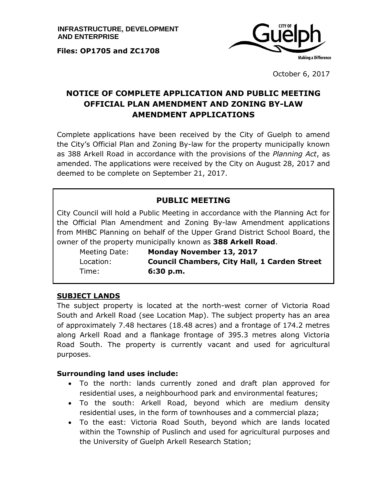**Files: OP1705 and ZC1708**



October 6, 2017

# **NOTICE OF COMPLETE APPLICATION AND PUBLIC MEETING OFFICIAL PLAN AMENDMENT AND ZONING BY-LAW AMENDMENT APPLICATIONS**

Complete applications have been received by the City of Guelph to amend the City's Official Plan and Zoning By-law for the property municipally known as 388 Arkell Road in accordance with the provisions of the *Planning Act*, as amended. The applications were received by the City on August 28, 2017 and deemed to be complete on September 21, 2017.

### **PUBLIC MEETING**

City Council will hold a Public Meeting in accordance with the Planning Act for the Official Plan Amendment and Zoning By-law Amendment applications from MHBC Planning on behalf of the Upper Grand District School Board, the owner of the property municipally known as **388 Arkell Road**.

Meeting Date: **Monday November 13, 2017** Location: **Council Chambers, City Hall, 1 Carden Street** Time: **6:30 p.m.**

#### **SUBJECT LANDS**

The subject property is located at the north-west corner of Victoria Road South and Arkell Road (see Location Map). The subject property has an area of approximately 7.48 hectares (18.48 acres) and a frontage of 174.2 metres along Arkell Road and a flankage frontage of 395.3 metres along Victoria Road South. The property is currently vacant and used for agricultural purposes.

#### **Surrounding land uses include:**

- To the north: lands currently zoned and draft plan approved for residential uses, a neighbourhood park and environmental features;
- To the south: Arkell Road, beyond which are medium density residential uses, in the form of townhouses and a commercial plaza;
- To the east: Victoria Road South, beyond which are lands located within the Township of Puslinch and used for agricultural purposes and the University of Guelph Arkell Research Station;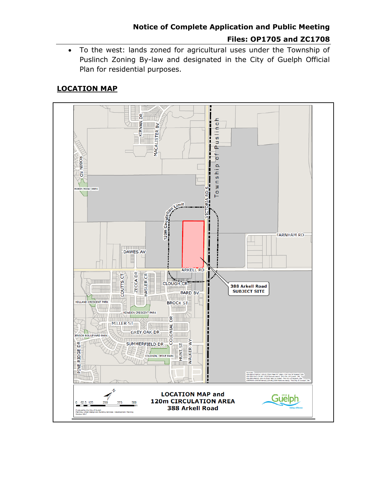# **Notice of Complete Application and Public Meeting Files: OP1705 and ZC1708**

 To the west: lands zoned for agricultural uses under the Township of Puslinch Zoning By-law and designated in the City of Guelph Official Plan for residential purposes.

## **LOCATION MAP**

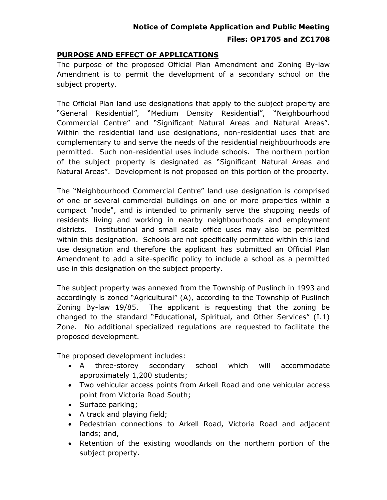# **Notice of Complete Application and Public Meeting Files: OP1705 and ZC1708**

#### **PURPOSE AND EFFECT OF APPLICATIONS**

The purpose of the proposed Official Plan Amendment and Zoning By-law Amendment is to permit the development of a secondary school on the subject property.

The Official Plan land use designations that apply to the subject property are "General Residential", "Medium Density Residential", "Neighbourhood Commercial Centre" and "Significant Natural Areas and Natural Areas". Within the residential land use designations, non-residential uses that are complementary to and serve the needs of the residential neighbourhoods are permitted. Such non-residential uses include schools. The northern portion of the subject property is designated as "Significant Natural Areas and Natural Areas". Development is not proposed on this portion of the property.

The "Neighbourhood Commercial Centre" land use designation is comprised of one or several commercial buildings on one or more properties within a compact "node", and is intended to primarily serve the shopping needs of residents living and working in nearby neighbourhoods and employment districts. Institutional and small scale office uses may also be permitted within this designation. Schools are not specifically permitted within this land use designation and therefore the applicant has submitted an Official Plan Amendment to add a site-specific policy to include a school as a permitted use in this designation on the subject property.

The subject property was annexed from the Township of Puslinch in 1993 and accordingly is zoned "Agricultural" (A), according to the Township of Puslinch Zoning By-law 19/85. The applicant is requesting that the zoning be changed to the standard "Educational, Spiritual, and Other Services" (I.1) Zone. No additional specialized regulations are requested to facilitate the proposed development.

The proposed development includes:

- A three-storey secondary school which will accommodate approximately 1,200 students;
- Two vehicular access points from Arkell Road and one vehicular access point from Victoria Road South;
- Surface parking;
- A track and playing field;
- Pedestrian connections to Arkell Road, Victoria Road and adjacent lands; and,
- Retention of the existing woodlands on the northern portion of the subject property.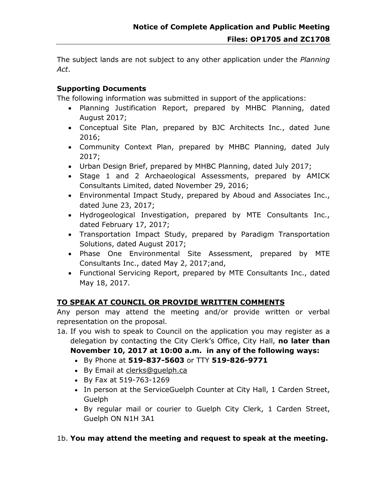The subject lands are not subject to any other application under the *Planning Act*.

### **Supporting Documents**

The following information was submitted in support of the applications:

- Planning Justification Report, prepared by MHBC Planning, dated August 2017;
- Conceptual Site Plan, prepared by BJC Architects Inc., dated June 2016;
- Community Context Plan, prepared by MHBC Planning, dated July 2017;
- Urban Design Brief, prepared by MHBC Planning, dated July 2017;
- Stage 1 and 2 Archaeological Assessments, prepared by AMICK Consultants Limited, dated November 29, 2016;
- Environmental Impact Study, prepared by Aboud and Associates Inc., dated June 23, 2017;
- Hydrogeological Investigation, prepared by MTE Consultants Inc., dated February 17, 2017;
- Transportation Impact Study, prepared by Paradigm Transportation Solutions, dated August 2017;
- Phase One Environmental Site Assessment, prepared by MTE Consultants Inc., dated May 2, 2017;and,
- Functional Servicing Report, prepared by MTE Consultants Inc., dated May 18, 2017.

## **TO SPEAK AT COUNCIL OR PROVIDE WRITTEN COMMENTS**

Any person may attend the meeting and/or provide written or verbal representation on the proposal.

1a. If you wish to speak to Council on the application you may register as a delegation by contacting the City Clerk's Office, City Hall, **no later than November 10, 2017 at 10:00 a.m. in any of the following ways:**

- By Phone at **519-837-5603** or TTY **519-826-9771**
- By Email at [clerks@guelph.ca](javascript:smae_decode()
- By Fax at 519-763-1269
- In person at the ServiceGuelph Counter at City Hall, 1 Carden Street, Guelph
- By regular mail or courier to Guelph City Clerk, 1 Carden Street, Guelph ON N1H 3A1

## 1b. **You may attend the meeting and request to speak at the meeting.**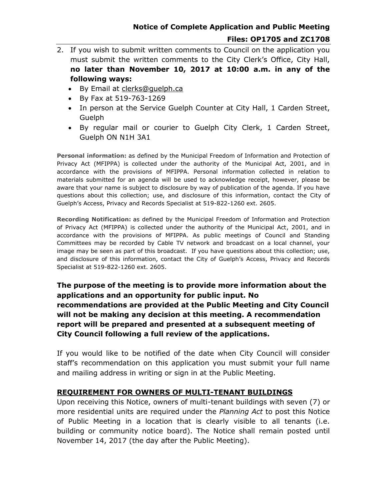- 2. If you wish to submit written comments to Council on the application you must submit the written comments to the City Clerk's Office, City Hall, **no later than November 10, 2017 at 10:00 a.m. in any of the following ways:**
	- By Email at clerks@quelph.ca
	- By Fax at 519-763-1269
	- In person at the Service Guelph Counter at City Hall, 1 Carden Street, Guelph
	- By regular mail or courier to Guelph City Clerk, 1 Carden Street, Guelph ON N1H 3A1

**Personal information:** as defined by the Municipal Freedom of Information and Protection of Privacy Act (MFIPPA) is collected under the authority of the Municipal Act, 2001, and in accordance with the provisions of MFIPPA. Personal information collected in relation to materials submitted for an agenda will be used to acknowledge receipt, however, please be aware that your name is subject to disclosure by way of publication of the agenda. If you have questions about this collection; use, and disclosure of this information, contact the City of Guelph's Access, Privacy and Records Specialist at 519-822-1260 ext. 2605.

**Recording Notification:** as defined by the Municipal Freedom of Information and Protection of Privacy Act (MFIPPA) is collected under the authority of the Municipal Act, 2001, and in accordance with the provisions of MFIPPA. As public meetings of Council and Standing Committees may be recorded by Cable TV network and broadcast on a local channel, your image may be seen as part of this broadcast. If you have questions about this collection; use, and disclosure of this information, contact the City of Guelph's Access, Privacy and Records Specialist at 519-822-1260 ext. 2605.

**The purpose of the meeting is to provide more information about the applications and an opportunity for public input. No recommendations are provided at the Public Meeting and City Council will not be making any decision at this meeting. A recommendation report will be prepared and presented at a subsequent meeting of City Council following a full review of the applications.** 

If you would like to be notified of the date when City Council will consider staff's recommendation on this application you must submit your full name and mailing address in writing or sign in at the Public Meeting.

#### **REQUIREMENT FOR OWNERS OF MULTI-TENANT BUILDINGS**

Upon receiving this Notice, owners of multi-tenant buildings with seven (7) or more residential units are required under the *Planning Act* to post this Notice of Public Meeting in a location that is clearly visible to all tenants (i.e. building or community notice board). The Notice shall remain posted until November 14, 2017 (the day after the Public Meeting).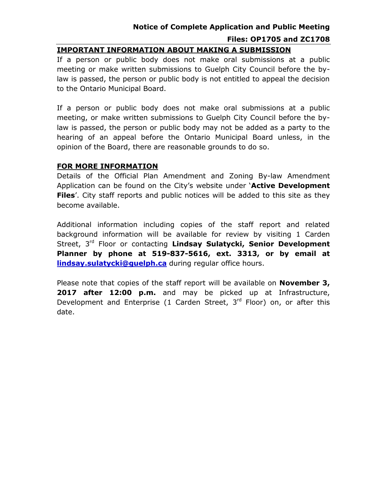# **Notice of Complete Application and Public Meeting Files: OP1705 and ZC1708**

#### **IMPORTANT INFORMATION ABOUT MAKING A SUBMISSION**

If a person or public body does not make oral submissions at a public meeting or make written submissions to Guelph City Council before the bylaw is passed, the person or public body is not entitled to appeal the decision to the Ontario Municipal Board.

If a person or public body does not make oral submissions at a public meeting, or make written submissions to Guelph City Council before the bylaw is passed, the person or public body may not be added as a party to the hearing of an appeal before the Ontario Municipal Board unless, in the opinion of the Board, there are reasonable grounds to do so.

#### **FOR MORE INFORMATION**

Details of the Official Plan Amendment and Zoning By-law Amendment Application can be found on the City's website under '**Active Development Files**'. City staff reports and public notices will be added to this site as they become available.

Additional information including copies of the staff report and related background information will be available for review by visiting 1 Carden Street, 3<sup>rd</sup> Floor or contacting Lindsay Sulatycki, Senior Development **Planner by phone at 519-837-5616, ext. 3313, or by email at [lindsay.sulatycki@guelph.ca](mailto:lindsay.sulatycki@guelph.ca)** during regular office hours.

Please note that copies of the staff report will be available on **November 3,**  2017 after 12:00 p.m. and may be picked up at Infrastructure, Development and Enterprise (1 Carden Street,  $3<sup>rd</sup>$  Floor) on, or after this date.